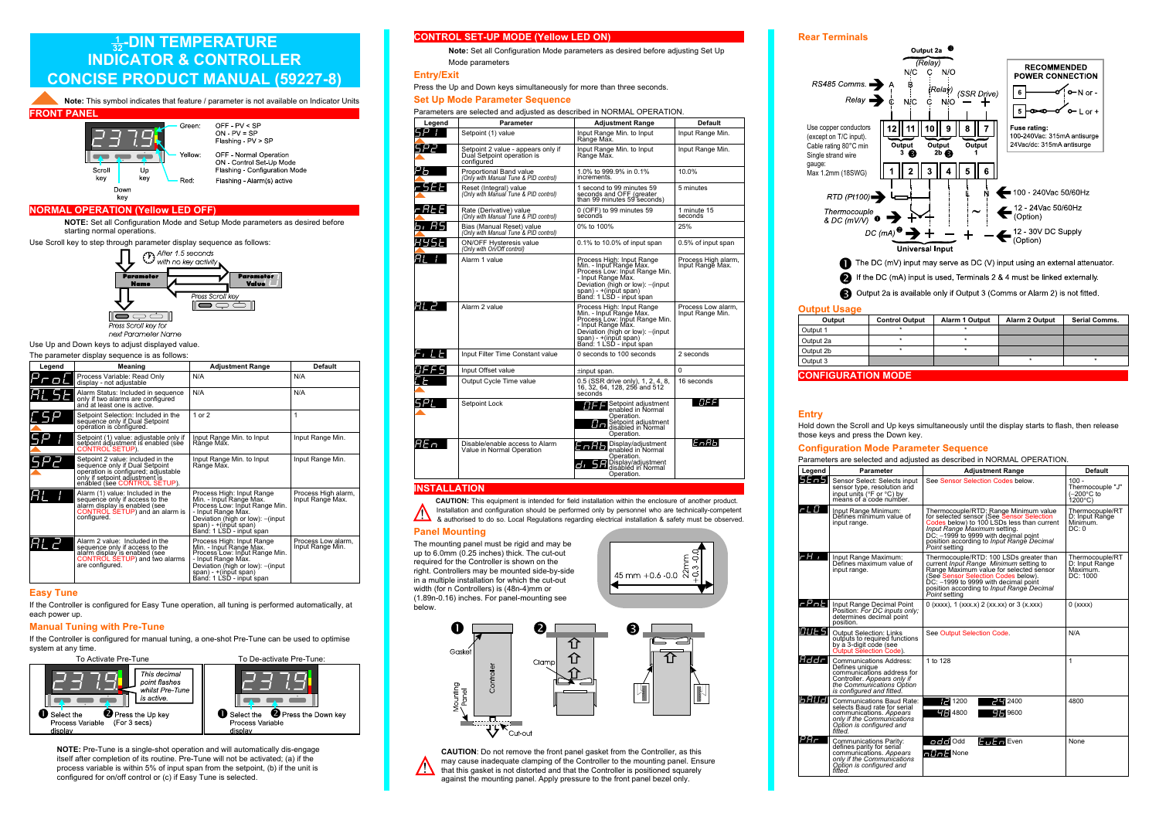# $\frac{1}{32}$ -DIN TEMPERATURE INDICATOR& CONTROLLER CONCISE PRODUCT MANUAL **(59227- 9)**



 NOTE: Set all Configuration Mode and Setup Mode parameters as desired beforestarting normal operations.



next Parameter Name

Use Up and Down keys to adjust displayed value.

#### The parameter display sequence is as follows:

| Legend | Meaning                                                                                                                                                                      | <b>Adiustment Range</b>                                                                                                                                                                               | Default                                 |
|--------|------------------------------------------------------------------------------------------------------------------------------------------------------------------------------|-------------------------------------------------------------------------------------------------------------------------------------------------------------------------------------------------------|-----------------------------------------|
|        | Process Variable: Read Only<br>display - not adjustable                                                                                                                      | N/A                                                                                                                                                                                                   | N/A                                     |
| AL 51  | Alarm Status: Included in sequence<br>only if two alarms are configured<br>and at least one is active.                                                                       | N/A                                                                                                                                                                                                   | N/A                                     |
|        | Setpoint Selection: Included in the<br>sequence only if Dual Setpoint<br>operation is configured.                                                                            | $1$ or $2$                                                                                                                                                                                            | 1                                       |
|        | Setpoint (1) value: adjustable only if<br>setpoint adjustment is enabled (see<br><b>CONTROL SETUP).</b>                                                                      | Input Range Min. to Input<br>Range Max.                                                                                                                                                               | Input Range Min.                        |
|        | Setpoint 2 value: included in the<br>sequence only if Dual Setpoint<br>opération is configured; adjustable<br>only if setpoint adjustment is<br>enábled (see CONTROL SETUP). | Input Range Min. to Input<br>Range Max.                                                                                                                                                               | Input Range Min.                        |
|        | Alarm (1) value: Included in the<br>sequence only if access to the<br>alarm display is enabled (see<br>CONTROL SETUP) and an alarm is<br>configured.                         | Process High: Input Range<br>Min. - Input Range Max.<br>Process Low: Input Range Min.<br>- Input Range Max.<br>Deviation (high or low): - (input<br>span) - +(input span)<br>Band: 1 LSD - input span | Process High alarm,<br>Input Range Max. |
|        | Alarm 2 value: Included in the<br>sequence only if access to the<br>alarm display is enabled (see<br>CONTROL SETUP) and two alarms<br>are configured.                        | Process High: Input Range<br>Min. - Input Range Max.<br>Process Low: Input Range Min.<br>- Input Range Max.<br>Deviation (high or low): - (input<br>span) - +(input span)<br>Band: 1 LSD - input span | Process Low alarm.<br>Input Range Min.  |

#### Easy Tune

 If the Controller is configured for Easy Tune operation, all tuning is performed automatically, at each power up.

#### Manual Tuning with Pre-Tune

 If the Controller is configured for manual tuning, <sup>a</sup> one-shot Pre-Tune can be used to optimisesystem at any time.



NOTE: Pre-Tune is <sup>a</sup> single-shot operation and will automatically dis-engage itself after completion of its routine. Pre-Tune will not be activated; (a) if the process variable is within 5% of input span from the setpoint, (b) if the unit isconfigured for on/off control or (c) if Easy Tune is selected.

#### CONTROL SET-UP MODE (Yellow LED ON)

 Note: Set all Configuration Mode parameters as desired before adjusting Set UpMode parameters

#### Entry/Exit

Press the Up and Down keys simultaneously for more than three seconds.

### Set Up Mode Parameter Sequence

|  | Parameters are selected and adjusted as described in NORMAL OPERATION. |  |  |  |
|--|------------------------------------------------------------------------|--|--|--|
|  |                                                                        |  |  |  |

| Legend | Parameter                                                                      | <b>Adjustment Range</b>                                                                                                                                                                               | <b>Default</b>                          |  |  |
|--------|--------------------------------------------------------------------------------|-------------------------------------------------------------------------------------------------------------------------------------------------------------------------------------------------------|-----------------------------------------|--|--|
|        | Setpoint (1) value                                                             | Input Range Min. to Input<br>Range Max.                                                                                                                                                               | Input Range Min.                        |  |  |
|        | Setpoint 2 value - appears only if<br>Dual Setpoint operation is<br>configured | Input Range Min. to Input<br>Range Max.                                                                                                                                                               | Input Range Min.                        |  |  |
|        | Proportional Band value<br>(Only with Manual Tune & PID control)               | 1.0% to 999.9% in 0.1%<br>increments.                                                                                                                                                                 | 10.0%                                   |  |  |
| -5EE   | Reset (Integral) value<br>(Only with Manual Tune & PID control)                | 1 second to 99 minutes 59<br>seconds and OFF (greater<br>than 99 minutes 59 seconds)                                                                                                                  | 5 minutes                               |  |  |
| caee   | Rate (Derivative) value<br>(Only with Manual Tune & PID control)               | 0 (OFF) to 99 minutes 59<br>seconds                                                                                                                                                                   | 1 minute 15<br>seconds                  |  |  |
| 61 AS  | Bias (Manual Reset) value<br>(Only with Manual Tune & PID control)             | 0% to 100%                                                                                                                                                                                            | 25%                                     |  |  |
| 895E   | ON/OFF Hysteresis value<br>(Only with On/Off control)                          | 0.1% to 10.0% of input span                                                                                                                                                                           | 0.5% of input span                      |  |  |
| AΙ     | Alarm 1 value                                                                  | Process High: Input Range<br>Min. - Input Range Max.<br>Process Low: Input Range Min.<br>- Input Range Max.<br>Deviation (high or low): - (input<br>span) - +(input span)<br>Band: 1 LSD - input span | Process High alarm.<br>Input Range Max. |  |  |
| RL 2   | Alarm 2 value                                                                  | Process High: Input Range<br>Min. - Input Range Max.<br>Process Low: Input Range Min.<br>- Input Range Max.<br>Deviation (high or low): - (input<br>span) - +(input span)<br>Band: 1 LSD - input span | Process Low alarm,<br>Input Range Min.  |  |  |
| F, LEI | Input Filter Time Constant value                                               | 0 seconds to 100 seconds                                                                                                                                                                              | 2 seconds                               |  |  |
| JFF5   | Input Offset value                                                             | ±input span.                                                                                                                                                                                          | 0                                       |  |  |
|        | Output Cycle Time value                                                        | 0.5 (SSR drive only), 1, 2, 4, 8,<br>16, 32, 64, 128, 256 and 512<br>seconds                                                                                                                          | 16 seconds                              |  |  |
| 521    | Setpoint Lock                                                                  | Setpoint adjustment<br>enabled in Normal<br>Operation.<br>Setpoint adjustment<br>disabled in Normal<br>Operation.                                                                                     | OFFI                                    |  |  |
| AE n   | Disable/enable access to Alarm<br>Value in Normal Operation                    | <b>Enforce</b> Display/adjustment<br>Operation.<br><b>d</b> , 5 Display/adjustment<br>Operation.                                                                                                      | IEпAЬ                                   |  |  |

#### **INSTALLATION**

 **CAUTION:** This equipment is intended for field installation within the enclosure of another product.Installation and configuration should be performed only by personnel who are technically-competent

& authorised to do so. Local Regulations regarding electrical installation & safety must be observed.

#### Panel Mounting

 The mounting panel must be rigid and may be up to 6.0mm (0.25 inches) thick. The cut-out required for the Controller is shown on the right. Controllers may be mounted side-by-sidein <sup>a</sup> multiple installation for which the cut-out width (for <sup>n</sup> Controllers) is (48n-4)mm or (1.89n-0.16) inches. For panel-mounting seebelow.



CAUTION: Do not remove the front panel gasket from the Controller, as this may cause inadequate clamping of the Controller to the mounting panel. Ensure $\sqrt{r}$ that this gasket is not distorted and that the Controller is positioned squarelyagainst the mounting panel. Apply pressure to the front panel bezel only.

#### Rear Terminals



Output 2a is available only if Output 3 is not fitted.

#### Output Usage

| Output                    | <b>Control Output</b> | <b>Alarm 1 Output</b> | <b>Alarm 2 Output</b> | <b>Serial Comms.</b> |
|---------------------------|-----------------------|-----------------------|-----------------------|----------------------|
| Output 1                  |                       |                       |                       |                      |
| Output 2a                 |                       |                       |                       |                      |
| Output 2b                 |                       |                       |                       |                      |
| Output 3                  |                       |                       |                       |                      |
| <b>CONFIGURATION MODE</b> |                       |                       |                       |                      |

#### **Entry**

 Hold down the Scroll and Up keys simultaneously until the display starts to flash, then releasethose keys and press the Down key.

#### Configuration Mode Parameter Sequence

| Legend   | Parameter                                                                                                                                                        | <b>Adjustment Range</b>                                                                                                                                                                                                                                                   | Default                                                        |
|----------|------------------------------------------------------------------------------------------------------------------------------------------------------------------|---------------------------------------------------------------------------------------------------------------------------------------------------------------------------------------------------------------------------------------------------------------------------|----------------------------------------------------------------|
| 5En51    | Sensor Select: Selects input<br>sensor type, resolution and<br>input units (°F or °C) by<br>means of a code number.                                              | See Sensor Selection Codes below.                                                                                                                                                                                                                                         | $100 -$<br>Thermocouple "J"<br>(-200°C to<br>$1200^{\circ}$ C) |
| r L O    | Input Range Minimum:<br>Defines minimum value of<br>input range.                                                                                                 | Thermocouple/RTD: Range Minimum value<br>for selected sensor (See Sensor Selection<br>Codes below) to 100 LSDs less than current<br>Input Range Maximum setting.<br>DC: -1999 to 9999 with decimal point<br>position according to Input Range Decimal<br>Point setting    | Thermocouple/RT<br>D: Input Range<br>Minimum.<br>DC: 0         |
| -н.      | Input Range Maximum:<br>Defines maximum value of<br>input range.                                                                                                 | Thermocouple/RTD: 100 LSDs greater than<br>current Input Range Minimum setting to<br>Range Maximum value for selected sensor<br>(See Sensor Selection Codes below).<br>DC: -1999 to 9999 with decimal point<br>position according to Input Range Decimal<br>Point setting | Thermocouple/RT<br>D: Input Range<br>Maximum.<br>DC: 1000      |
| rPotl    | Input Range Decimal Point<br>Position: For DC inputs only;<br>determines decimal point<br>position.                                                              | $0$ (xxxx), $1$ (xxx.x) $2$ (xx.xx) or $3$ (x.xxx)                                                                                                                                                                                                                        | $0$ (xxxx)                                                     |
| 10UE 511 | Output Selection: Links<br>outputs to required functions<br>by a 3-digit code (see<br>Output Selection Code).                                                    | See Output Selection Code.                                                                                                                                                                                                                                                | N/A                                                            |
| Addrl    | Communications Address:<br>Defines unique<br>communications address for<br>Controller. Appears only if<br>the Communications Option<br>is configured and fitted. | 1 to 128                                                                                                                                                                                                                                                                  | 1                                                              |
| 16 AU JI | Communications Baud Rate:<br>selects Baud rate for serial<br>communications. Appears<br>only if the Communications<br>Option is configured and<br>fitted.        | $E$ 2400<br>1200<br>$T = 4800$<br>$\blacksquare$ 9600                                                                                                                                                                                                                     | 4800                                                           |
| PAF      | <b>Communications Parity:</b><br>defines parity for serial<br>communications. Appears<br>only if the Communications<br>Option is configured and<br>fifted.       | $F = F$ Odd<br>$E_{\text{tr}}E_{\text{tr}}$ Even<br>$\n  Fig. 2 None\n$                                                                                                                                                                                                   | None                                                           |